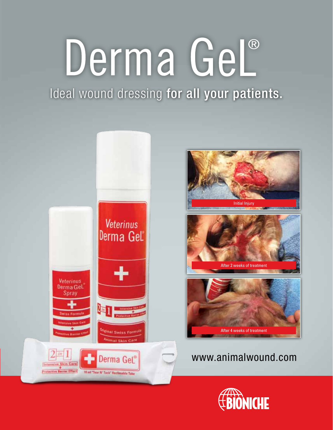# Derma Gel®

Ideal wound dressing for all your patients.



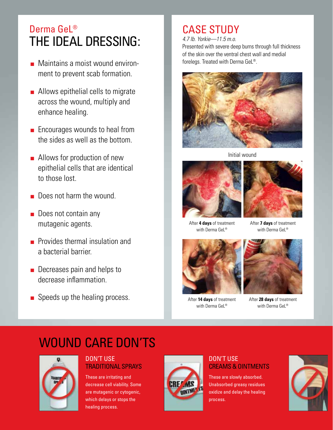## Derma Gel<sup>®</sup> The Ideal Dressing:

- Maintains a moist wound environment to prevent scab formation.
- Allows epithelial cells to migrate across the wound, multiply and enhance healing.
- Encourages wounds to heal from the sides as well as the bottom.
- Allows for production of new epithelial cells that are identical to those lost.
- Does not harm the wound.
- Does not contain any mutagenic agents.
- Provides thermal insulation and a bacterial barrier.
- Decreases pain and helps to decrease inflammation.
- Speeds up the healing process.

## CASE STUDY

*4.7 lb. Yorkie—11.5 m.o.*  Presented with severe deep burns through full thickness of the skin over the ventral chest wall and medial forelegs. Treated with Derma GeL®.



Initial wound



After **4 days** of treatment with Derma GeL®



After **14 days** of treatment with Derma GeL®



After **7 days** of treatment with Derma GeL®



After **28 days** of treatment with Derma GeL®

## WOUND CARE DON'TS



#### DON'T USE TRADITIONAL SPRAYS

These are irritating and decrease cell viability. Some are mutagenic or cytogenic, which delays or stops the healing process.



#### DON'T USE CREAMS & OINTMENTS

These are slowly absorbed. Unabsorbed greasy residues oxidize and delay the healing process.

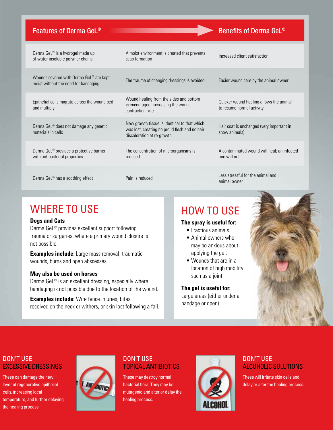#### Features of Derma GeL<sup>®</sup> Benefits of Derma GeL<sup>®</sup>

| Derma GeL <sup>®</sup> is a hydrogel made up<br>of water insoluble polymer chains     | A moist environment is created that prevents<br>scab formation                                                              | Increased client satisfaction                                        |
|---------------------------------------------------------------------------------------|-----------------------------------------------------------------------------------------------------------------------------|----------------------------------------------------------------------|
| Wounds covered with Derma GeL® are kept<br>moist without the need for bandaging       | The trauma of changing dressings is avoided                                                                                 | Easier wound care by the animal owner                                |
| Epithelial cells migrate across the wound bed<br>and multiply                         | Wound healing from the sides and bottom<br>is encouraged, increasing the wound<br>contraction rate                          | Quicker wound healing allows the animal<br>to resume normal activity |
| Derma GeL <sup>®</sup> does not damage any genetic<br>materials in cells              | New growth tissue is identical to that which<br>was lost, creating no proud flesh and no hair<br>discoloration at re-growth | Hair coat is unchanged (very important in<br>show animals)           |
| Derma GeL <sup>®</sup> provides a protective barrier<br>with antibacterial properties | The concentration of microorganisms is<br>reduced                                                                           | A contaminated wound will heal; an infected<br>one will not          |
| Derma GeL <sup>®</sup> has a soothing effect                                          | Pain is reduced                                                                                                             | Less stressful for the animal and<br>animal owner                    |

## WHERE TO USE

#### **Dogs and Cats**

Derma GeL® provides excellent support following trauma or surgeries, where a primary wound closure is not possible.

**Examples include:** Large mass removal, traumatic wounds, burns and open abscesses.

#### **May also be used on horses**

Derma GeL® is an excellent dressing, especially where bandaging is not possible due to the location of the wound.

**Examples include:** Wire fence injuries, bites received on the neck or withers, or skin lost following a fall.

### How to use

#### **The spray is useful for:**

- Fractious animals.
- Animal owners who may be anxious about applying the gel.
- Wounds that are in a location of high mobility such as a joint.

#### **The gel is useful for:**

Large areas (either under a bandage or open).



#### DON'T USE EXCESSIVE DRESSINGS

These can damage the new layer of regenerative epithelial cells, increasing local temperature, and further delaying the healing process.



#### DON'T USE TOPICAL ANTIBIOTICS

These may destroy normal bacterial flora. They may be mutagenic and alter or delay the healing process.



#### DON'T USE ALCOHOLIC SOLUTIONS

These will irritate skin cells and delay or alter the healing process.